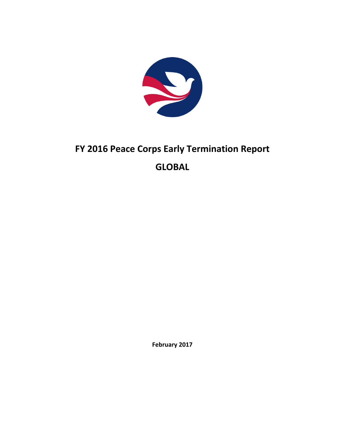

# **FY 2016 Peace Corps Early Termination Report GLOBAL**

**February 2017**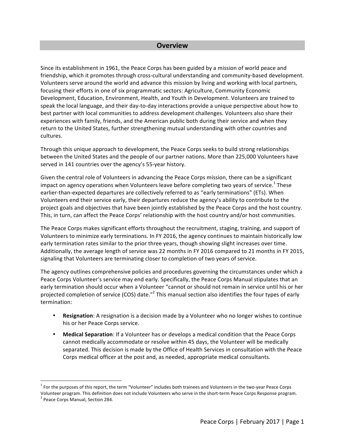#### **Overview**

Since its establishment in 1961, the Peace Corps has been guided by a mission of world peace and friendship, which it promotes through cross-cultural understanding and community-based development. Volunteers serve around the world and advance this mission by living and working with local partners, focusing their efforts in one of six programmatic sectors: Agriculture, Community Economic Development, Education, Environment, Health, and Youth in Development. Volunteers are trained to speak the local language, and their day-to-day interactions provide a unique perspective about how to best partner with local communities to address development challenges. Volunteers also share their experiences with family, friends, and the American public both during their service and when they return to the United States, further strengthening mutual understanding with other countries and cultures. 

Through this unique approach to development, the Peace Corps seeks to build strong relationships between the United States and the people of our partner nations. More than 225,000 Volunteers have served in 141 countries over the agency's 55-year history.

Given the central role of Volunteers in advancing the Peace Corps mission, there can be a significant impact on agency operations when Volunteers leave before completing two years of service.<sup>1</sup> These earlier-than-expected departures are collectively referred to as "early terminations" (ETs). When Volunteers end their service early, their departures reduce the agency's ability to contribute to the project goals and objectives that have been jointly established by the Peace Corps and the host country. This, in turn, can affect the Peace Corps' relationship with the host country and/or host communities.

The Peace Corps makes significant efforts throughout the recruitment, staging, training, and support of Volunteers to minimize early terminations. In FY 2016, the agency continues to maintain historically low early termination rates similar to the prior three years, though showing slight increases over time. Additionally, the average length of service was 22 months in FY 2016 compared to 21 months in FY 2015, signaling that Volunteers are terminating closer to completion of two years of service.

The agency outlines comprehensive policies and procedures governing the circumstances under which a Peace Corps Volunteer's service may end early. Specifically, the Peace Corps Manual stipulates that an early termination should occur when a Volunteer "cannot or should not remain in service until his or her projected completion of service (COS) date."<sup>2</sup> This manual section also identifies the four types of early termination:

- **Resignation**: A resignation is a decision made by a Volunteer who no longer wishes to continue his or her Peace Corps service.
- Medical Separation: If a Volunteer has or develops a medical condition that the Peace Corps cannot medically accommodate or resolve within 45 days, the Volunteer will be medically separated. This decision is made by the Office of Health Services in consultation with the Peace Corps medical officer at the post and, as needed, appropriate medical consultants.

 $1$  For the purposes of this report, the term "Volunteer" includes both trainees and Volunteers in the two-year Peace Corps Volunteer program. This definition does not include Volunteers who serve in the short-term Peace Corps Response program.<br><sup>2</sup> Peace Corps Manual, Section 284.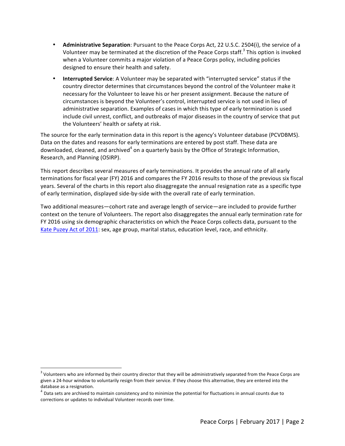- **Administrative Separation**: Pursuant to the Peace Corps Act, 22 U.S.C. 2504(i), the service of a Volunteer may be terminated at the discretion of the Peace Corps staff.<sup>3</sup> This option is invoked when a Volunteer commits a major violation of a Peace Corps policy, including policies designed to ensure their health and safety.
- **Interrupted Service:** A Volunteer may be separated with "interrupted service" status if the country director determines that circumstances beyond the control of the Volunteer make it necessary for the Volunteer to leave his or her present assignment. Because the nature of circumstances is beyond the Volunteer's control, interrupted service is not used in lieu of administrative separation. Examples of cases in which this type of early termination is used include civil unrest, conflict, and outbreaks of major diseases in the country of service that put the Volunteers' health or safety at risk.

The source for the early termination data in this report is the agency's Volunteer database (PCVDBMS). Data on the dates and reasons for early terminations are entered by post staff. These data are downloaded, cleaned, and archived<sup>4</sup> on a quarterly basis by the Office of Strategic Information, Research, and Planning (OSIRP).

This report describes several measures of early terminations. It provides the annual rate of all early terminations for fiscal year (FY) 2016 and compares the FY 2016 results to those of the previous six fiscal years. Several of the charts in this report also disaggregate the annual resignation rate as a specific type of early termination, displayed side-by-side with the overall rate of early termination.

Two additional measures—cohort rate and average length of service—are included to provide further context on the tenure of Volunteers. The report also disaggregates the annual early termination rate for FY 2016 using six demographic characteristics on which the Peace Corps collects data, pursuant to the Kate Puzey Act of 2011: sex, age group, marital status, education level, race, and ethnicity.

 $3$  Volunteers who are informed by their country director that they will be administratively separated from the Peace Corps are given a 24-hour window to voluntarily resign from their service. If they choose this alternative, they are entered into the database as a resignation.

 $<sup>4</sup>$  Data sets are archived to maintain consistency and to minimize the potential for fluctuations in annual counts due to</sup> corrections or updates to individual Volunteer records over time.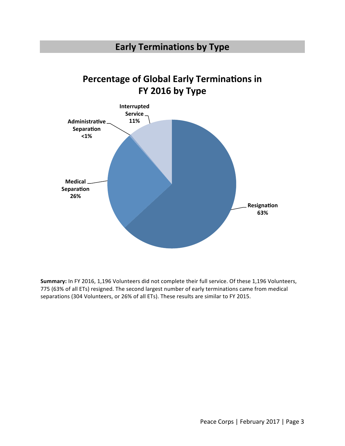### **Early Terminations by Type**

# **Percentage of Global Early Terminations in FY 2016 by Type**



Summary: In FY 2016, 1,196 Volunteers did not complete their full service. Of these 1,196 Volunteers, 775 (63% of all ETs) resigned. The second largest number of early terminations came from medical separations (304 Volunteers, or 26% of all ETs). These results are similar to FY 2015.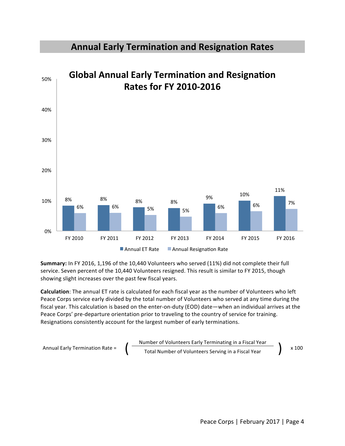

#### **Annual Early Termination and Resignation Rates**

Summary: In FY 2016, 1,196 of the 10,440 Volunteers who served (11%) did not complete their full service. Seven percent of the 10,440 Volunteers resigned. This result is similar to FY 2015, though showing slight increases over the past few fiscal years.

**Calculation**: The annual ET rate is calculated for each fiscal year as the number of Volunteers who left Peace Corps service early divided by the total number of Volunteers who served at any time during the fiscal year. This calculation is based on the enter-on-duty (EOD) date—when an individual arrives at the Peace Corps' pre-departure orientation prior to traveling to the country of service for training. Resignations consistently account for the largest number of early terminations.

$$
Annual Early Termination Rate = \frac{Number of Volumbers Early Terminating in a Fiscal Year}{Total Number of Volumbers Serving in a Fiscal Year} \times 100
$$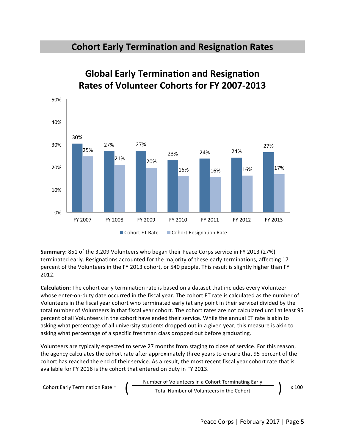#### **Cohort Early Termination and Resignation Rates**



# **Global Early Termination and Resignation Rates of Volunteer Cohorts for FY 2007-2013**

**Summary:** 851 of the 3,209 Volunteers who began their Peace Corps service in FY 2013 (27%) terminated early. Resignations accounted for the majority of these early terminations, affecting 17 percent of the Volunteers in the FY 2013 cohort, or 540 people. This result is slightly higher than FY 2012.

**Calculation:** The cohort early termination rate is based on a dataset that includes every Volunteer whose enter-on-duty date occurred in the fiscal year. The cohort ET rate is calculated as the number of Volunteers in the fiscal year cohort who terminated early (at any point in their service) divided by the total number of Volunteers in that fiscal year cohort. The cohort rates are not calculated until at least 95 percent of all Volunteers in the cohort have ended their service. While the annual ET rate is akin to asking what percentage of all university students dropped out in a given year, this measure is akin to asking what percentage of a specific freshman class dropped out before graduating.

Volunteers are typically expected to serve 27 months from staging to close of service. For this reason, the agency calculates the cohort rate after approximately three years to ensure that 95 percent of the cohort has reached the end of their service. As a result, the most recent fiscal year cohort rate that is available for FY 2016 is the cohort that entered on duty in FY 2013.

Cohort Early Termination Rate =  $\int \frac{\text{Number of Volumbers in a Cohort Terminating Early}}{\text{Total Number of Volumeters in the Cohort}}$   $\int x 100$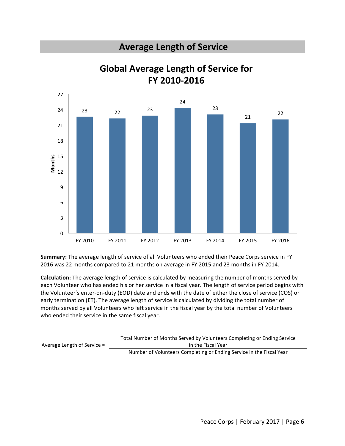### **Average Length of Service**



**Global Average Length of Service for FY 2010-2016** 

Summary: The average length of service of all Volunteers who ended their Peace Corps service in FY 2016 was 22 months compared to 21 months on average in FY 2015 and 23 months in FY 2014.

**Calculation:** The average length of service is calculated by measuring the number of months served by each Volunteer who has ended his or her service in a fiscal year. The length of service period begins with the Volunteer's enter-on-duty (EOD) date and ends with the date of either the close of service (COS) or early termination (ET). The average length of service is calculated by dividing the total number of months served by all Volunteers who left service in the fiscal year by the total number of Volunteers who ended their service in the same fiscal year.

|                               | Total Number of Months Served by Volunteers Completing or Ending Service |
|-------------------------------|--------------------------------------------------------------------------|
| Average Length of Service $=$ | in the Fiscal Year                                                       |
|                               | Number of Volunteers Completing or Ending Service in the Fiscal Year     |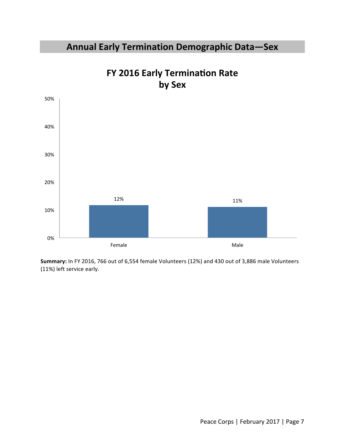# **Annual Early Termination Demographic Data—Sex**



# **FY 2016 Early Termination Rate by Sex**

Summary: In FY 2016, 766 out of 6,554 female Volunteers (12%) and 430 out of 3,886 male Volunteers (11%) left service early.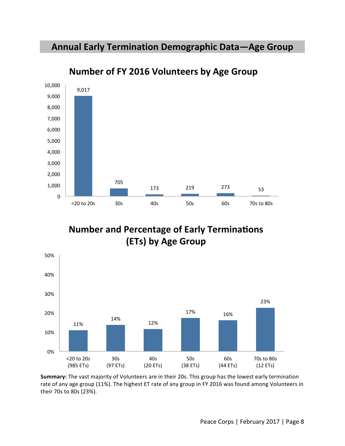### Annual Early Termination Demographic Data-Age Group



**Number of FY 2016 Volunteers by Age Group** 

**Number and Percentage of Early Terminations (ETs) by Age Group** 



**Summary:** The vast majority of Volunteers are in their 20s. This group has the lowest early termination rate of any age group (11%). The highest ET rate of any group in FY 2016 was found among Volunteers in their 70s to 80s (23%).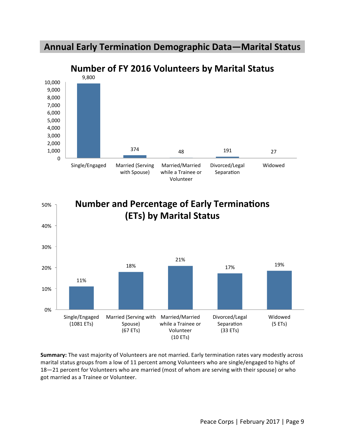### **Annual Early Termination Demographic Data—Marital Status**





**Summary:** The vast majority of Volunteers are not married. Early termination rates vary modestly across marital status groups from a low of 11 percent among Volunteers who are single/engaged to highs of 18-21 percent for Volunteers who are married (most of whom are serving with their spouse) or who got married as a Trainee or Volunteer.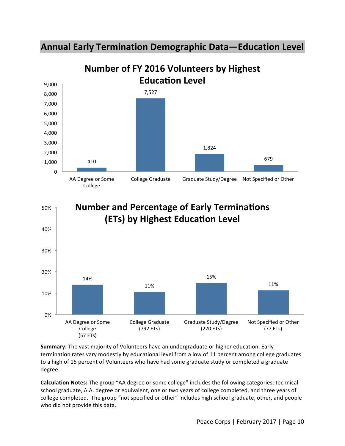



![](_page_10_Figure_2.jpeg)

![](_page_10_Figure_3.jpeg)

**Summary:** The vast majority of Volunteers have an undergraduate or higher education. Early termination rates vary modestly by educational level from a low of 11 percent among college graduates to a high of 15 percent of Volunteers who have had some graduate study or completed a graduate degree. 

**Calculation Notes:** The group "AA degree or some college" includes the following categories: technical school graduate, A.A. degree or equivalent, one or two years of college completed, and three years of college completed. The group "not specified or other" includes high school graduate, other, and people who did not provide this data.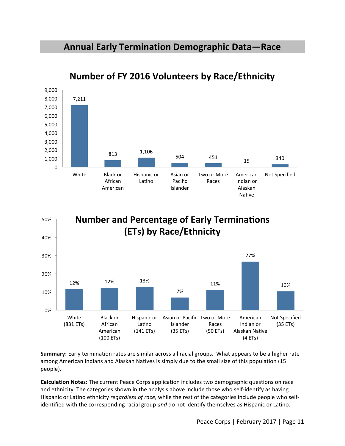### **Annual Early Termination Demographic Data—Race**

![](_page_11_Figure_1.jpeg)

## **Number of FY 2016 Volunteers by Race/Ethnicity**

![](_page_11_Figure_3.jpeg)

**Summary:** Early termination rates are similar across all racial groups. What appears to be a higher rate among American Indians and Alaskan Natives is simply due to the small size of this population (15 people).

**Calculation Notes:** The current Peace Corps application includes two demographic questions on race and ethnicity. The categories shown in the analysis above include those who self-identify as having Hispanic or Latino ethnicity *regardless of race,* while the rest of the categories include people who selfidentified with the corresponding racial group and do not identify themselves as Hispanic or Latino.